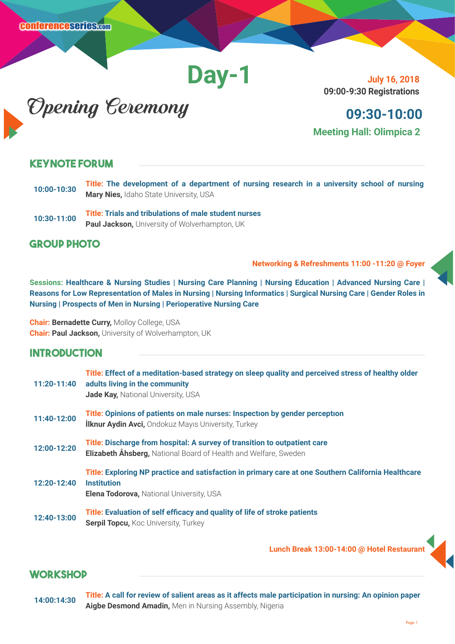**Day-1**

**July 16, 2018 09:00-9:30 Registrations**

Opening Ceremony

## **09:30-10:00 Meeting Hall: Olimpica 2**

#### **Keynote Forum**

- **10:00-10:30 Title: The development of a department of nursing research in a university school of nursing Mary Nies,** Idaho State University, USA
- **10:30-11:00 Title: Trials and tribulations of male student nurses Paul Jackson,** University of Wolverhampton, UK

#### **Group Photo**

**Networking & Refreshments 11:00 -11:20 @ Foyer**

**Sessions: Healthcare & Nursing Studies | Nursing Care Planning | Nursing Education | Advanced Nursing Care | Reasons for Low Representation of Males in Nursing | Nursing Informatics | Surgical Nursing Care | Gender Roles in Nursing | Prospects of Men in Nursing | Perioperative Nursing Care**

**Chair: Bernadette Curry,** Molloy College, USA **Chair: Paul Jackson,** University of Wolverhampton, UK

#### **Introduction**

| 11:20-11:40 | Title: Effect of a meditation-based strategy on sleep quality and perceived stress of healthy older<br>adults living in the community<br>Jade Kay, National University, USA  |
|-------------|------------------------------------------------------------------------------------------------------------------------------------------------------------------------------|
| 11:40-12:00 | Title: Opinions of patients on male nurses: Inspection by gender perception<br><b>İlknur Aydin Avci, Ondokuz Mayıs University, Turkey</b>                                    |
| 12:00-12:20 | Title: Discharge from hospital: A survey of transition to outpatient care<br>Elizabeth Åhsberg, National Board of Health and Welfare, Sweden                                 |
| 12:20-12:40 | Title: Exploring NP practice and satisfaction in primary care at one Southern California Healthcare<br><b>Institution</b><br><b>Elena Todorova, National University, USA</b> |
| 12:40-13:00 | Title: Evaluation of self efficacy and quality of life of stroke patients<br><b>Serpil Topcu, Koc University, Turkey</b>                                                     |

 **Lunch Break 13:00-14:00 @ Hotel Restaurant**

## **WORKSHOP**

**14:00:14:30 Title: A call for review of salient areas as it affects male participation in nursing: An opinion paper Aigbe Desmond Amadin,** Men in Nursing Assembly, Nigeria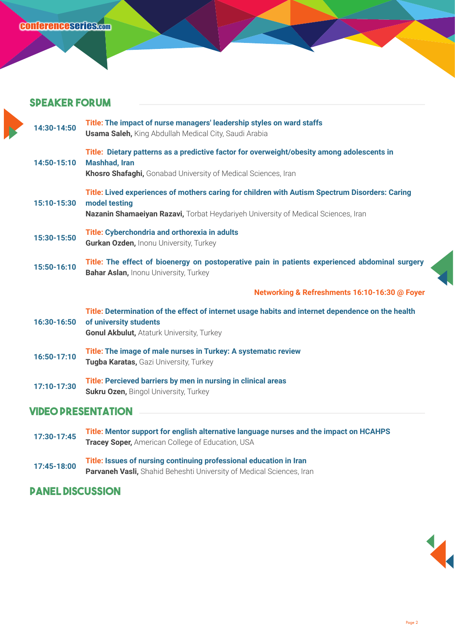#### **Speaker forum**

| 14:30-14:50               | Title: The impact of nurse managers' leadership styles on ward staffs<br><b>Usama Saleh, King Abdullah Medical City, Saudi Arabia</b>                                                                |
|---------------------------|------------------------------------------------------------------------------------------------------------------------------------------------------------------------------------------------------|
| 14:50-15:10               | Title: Dietary patterns as a predictive factor for overweight/obesity among adolescents in<br><b>Mashhad, Iran</b><br>Khosro Shafaghi, Gonabad University of Medical Sciences, Iran                  |
| 15:10-15:30               | Title: Lived experiences of mothers caring for children with Autism Spectrum Disorders: Caring<br>model testing<br>Nazanin Shamaeiyan Razavi, Torbat Heydariyeh University of Medical Sciences, Iran |
| 15:30-15:50               | Title: Cyberchondria and orthorexia in adults<br>Gurkan Ozden, Inonu University, Turkey                                                                                                              |
| 15:50-16:10               | Title: The effect of bioenergy on postoperative pain in patients experienced abdominal surgery<br><b>Bahar Aslan, Inonu University, Turkey</b>                                                       |
|                           | Networking & Refreshments 16:10-16:30 @ Foyer                                                                                                                                                        |
| 16:30-16:50               | Title: Determination of the effect of internet usage habits and internet dependence on the health<br>of university students<br><b>Gonul Akbulut, Ataturk University, Turkey</b>                      |
| 16:50-17:10               | Title: The image of male nurses in Turkey: A systematic review<br>Tugba Karatas, Gazi University, Turkey                                                                                             |
| 17:10-17:30               | Title: Percieved barriers by men in nursing in clinical areas<br><b>Sukru Ozen, Bingol University, Turkey</b>                                                                                        |
| <b>VIDEO PRESENTATION</b> |                                                                                                                                                                                                      |
|                           |                                                                                                                                                                                                      |

- **17:30-17:45 Title: Mentor support for english alternative language nurses and the impact on HCAHPS Tracey Soper,** American College of Education, USA
- **17:45-18:00 Title: Issues of nursing continuing professional education in Iran Parvaneh Vasli,** Shahid Beheshti University of Medical Sciences, Iran

## **Panel Discussion**

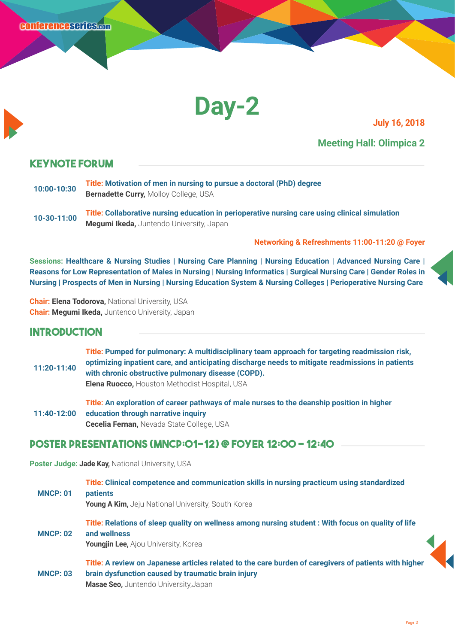

#### **Meeting Hall: Olimpica 2**

#### **Keynote Forum**

- **10:00-10:30 Title: Motivation of men in nursing to pursue a doctoral (PhD) degree Bernadette Curry,** Molloy College, USA
- **10-30-11:00 Title: Collaborative nursing education in perioperative nursing care using clinical simulation Megumi Ikeda,** Juntendo University, Japan

#### **Networking & Refreshments 11:00-11:20 @ Foyer**

**Sessions: Healthcare & Nursing Studies | Nursing Care Planning | Nursing Education | Advanced Nursing Care | Reasons for Low Representation of Males in Nursing | Nursing Informatics | Surgical Nursing Care | Gender Roles in Nursing | Prospects of Men in Nursing | Nursing Education System & Nursing Colleges | Perioperative Nursing Care**

**Chair: Elena Todorova,** National University, USA **Chair: Megumi Ikeda,** Juntendo University, Japan

### **Introduction**

| 11:20-11:40 | Title: Pumped for pulmonary: A multidisciplinary team approach for targeting readmission risk,<br>optimizing inpatient care, and anticipating discharge needs to mitigate readmissions in patients<br>with chronic obstructive pulmonary disease (COPD).<br><b>Elena Ruocco, Houston Methodist Hospital, USA</b> |
|-------------|------------------------------------------------------------------------------------------------------------------------------------------------------------------------------------------------------------------------------------------------------------------------------------------------------------------|
| 11:40-12:00 | Title: An exploration of career pathways of male nurses to the deanship position in higher<br>education through narrative inquiry                                                                                                                                                                                |

**Cecelia Fernan,** Nevada State College, USA

#### **Poster Presentations (MNCP:01-12) @ FOYER 12:00 - 12:40**

**Poster Judge: Jade Kay,** National University, USA

| <b>MNCP: 01</b> | Title: Clinical competence and communication skills in nursing practicum using standardized<br><b>patients</b><br><b>Young A Kim, Jeju National University, South Korea</b>                                 |
|-----------------|-------------------------------------------------------------------------------------------------------------------------------------------------------------------------------------------------------------|
| <b>MNCP: 02</b> | Title: Relations of sleep quality on wellness among nursing student: With focus on quality of life<br>and wellness<br>Youngjin Lee, Ajou University, Korea                                                  |
| <b>MNCP: 03</b> | Title: A review on Japanese articles related to the care burden of caregivers of patients with higher<br>brain dysfunction caused by traumatic brain injury<br><b>Masae Seo, Juntendo University, Japan</b> |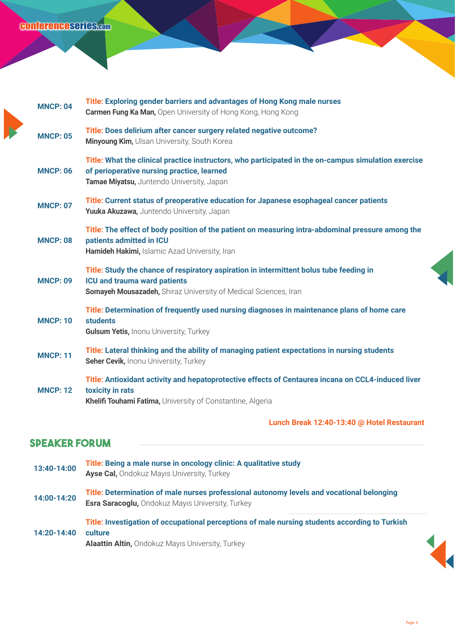## conferenceseries.com

| <b>MNCP: 04</b> | Title: Exploring gender barriers and advantages of Hong Kong male nurses<br><b>Carmen Fung Ka Man, Open University of Hong Kong, Hong Kong</b>                                                    |
|-----------------|---------------------------------------------------------------------------------------------------------------------------------------------------------------------------------------------------|
| <b>MNCP: 05</b> | Title: Does delirium after cancer surgery related negative outcome?<br>Minyoung Kim, Ulsan University, South Korea                                                                                |
| <b>MNCP: 06</b> | Title: What the clinical practice instructors, who participated in the on-campus simulation exercise<br>of perioperative nursing practice, learned<br>Tamae Miyatsu, Juntendo University, Japan   |
| <b>MNCP: 07</b> | Title: Current status of preoperative education for Japanese esophageal cancer patients<br>Yuuka Akuzawa, Juntendo University, Japan                                                              |
| <b>MNCP: 08</b> | Title: The effect of body position of the patient on measuring intra-abdominal pressure among the<br>patients admitted in ICU<br>Hamideh Hakimi, Islamic Azad University, Iran                    |
| <b>MNCP: 09</b> | Title: Study the chance of respiratory aspiration in intermittent bolus tube feeding in<br><b>ICU and trauma ward patients</b><br>Somayeh Mousazadeh, Shiraz University of Medical Sciences, Iran |
| <b>MNCP: 10</b> | Title: Determination of frequently used nursing diagnoses in maintenance plans of home care<br><b>students</b><br><b>Gulsum Yetis, Inonu University, Turkey</b>                                   |
| <b>MNCP: 11</b> | Title: Lateral thinking and the ability of managing patient expectations in nursing students<br>Seher Cevik, Inonu University, Turkey                                                             |
| <b>MNCP: 12</b> | Title: Antioxidant activity and hepatoprotective effects of Centaurea incana on CCL4-induced liver<br>toxicity in rats<br>Khelifi Touhami Fatima, University of Constantine, Algeria              |
|                 | Lunch Break 12:40-13:40 @ Hotel Restaurant                                                                                                                                                        |

# **Speaker forum**

| 13:40-14:00 | Title: Being a male nurse in oncology clinic: A qualitative study<br><b>Ayse Cal, Ondokuz Mayis University, Turkey</b>                               |
|-------------|------------------------------------------------------------------------------------------------------------------------------------------------------|
| 14:00-14:20 | Title: Determination of male nurses professional autonomy levels and vocational belonging<br><b>Esra Saracoglu, Ondokuz Mayıs University, Turkey</b> |
| 14:20-14:40 | Title: Investigation of occupational perceptions of male nursing students according to Turkish<br>culture                                            |

**Alaattin Altin,** Ondokuz Mayıs University, Turkey